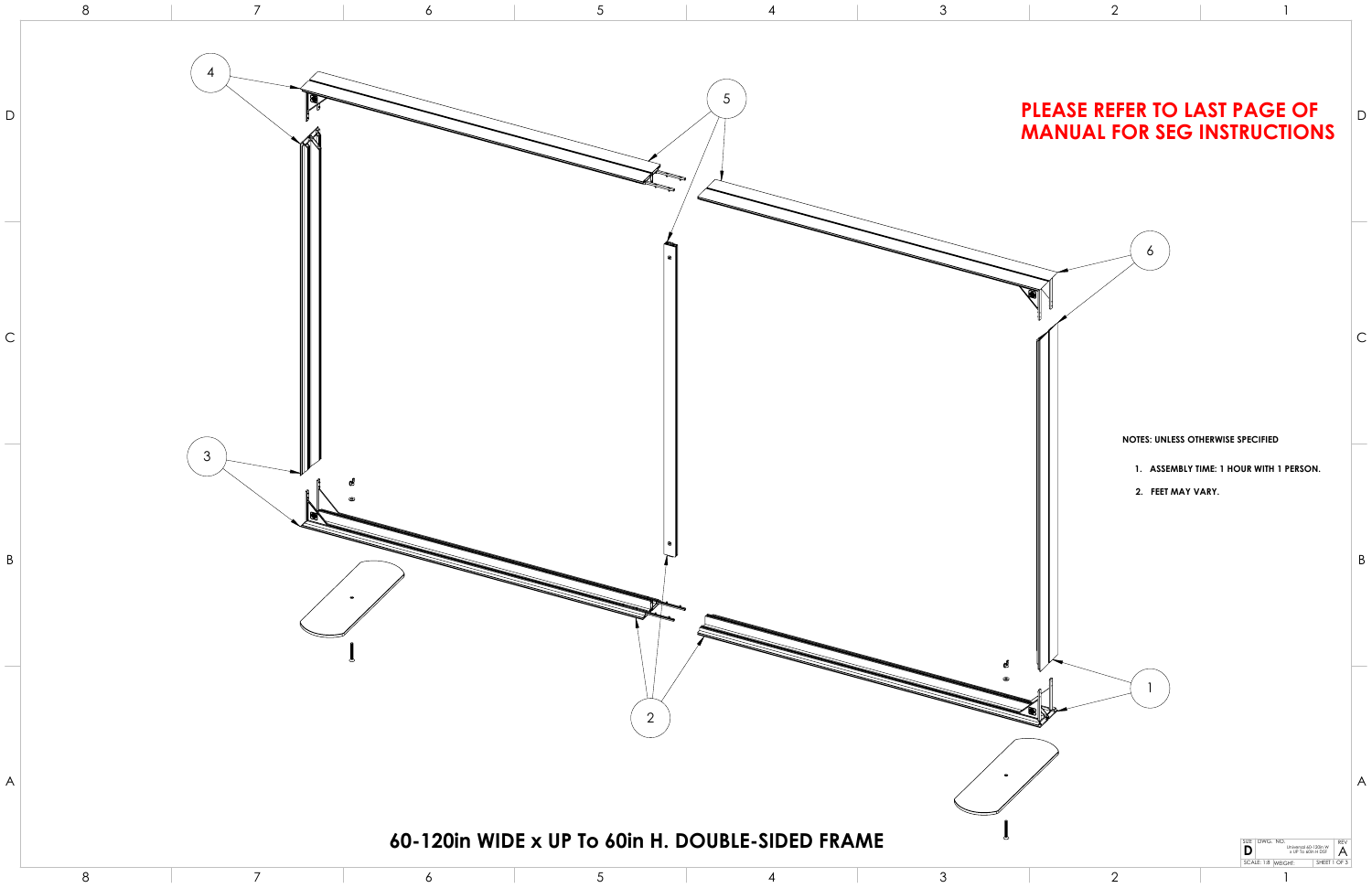1

- **1. ASSEMBLY TIME: 1 HOUR WITH 1 PERSON.**
- **2. FEET MAY VARY.**

## **NOTES: UNLESS OTHERWISE SPECIFIED**



## **MANUAL FOR SEG INSTRUCTIONS**

8

6

3

2

2

1

1

 $\sigma$ 

DWG. NO. REV SIZE

**D**

Universal 60-120in W x UP To 60in H DSF

 $\mathop{\mid} \mathop{\mathsf{A}}$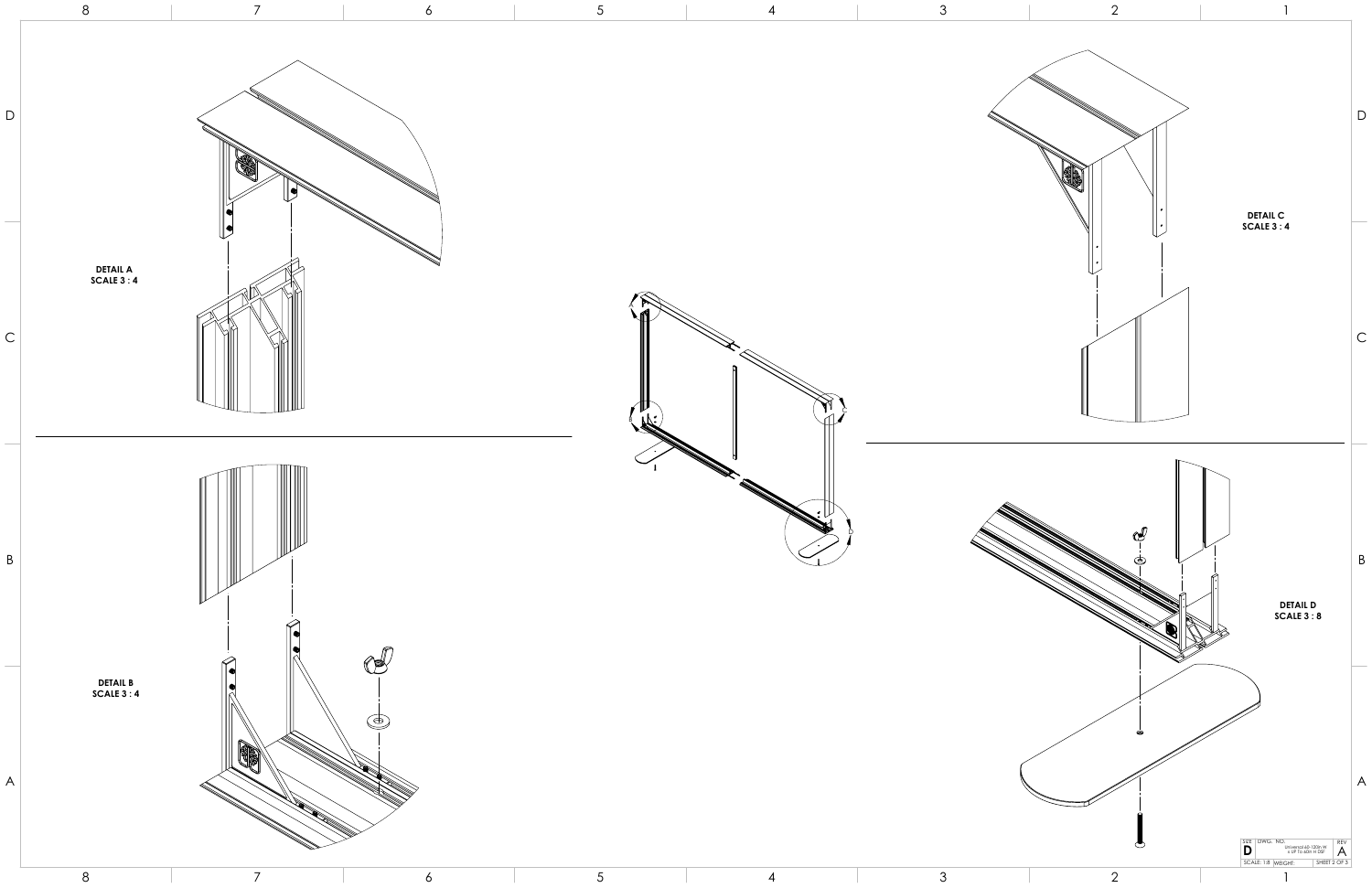